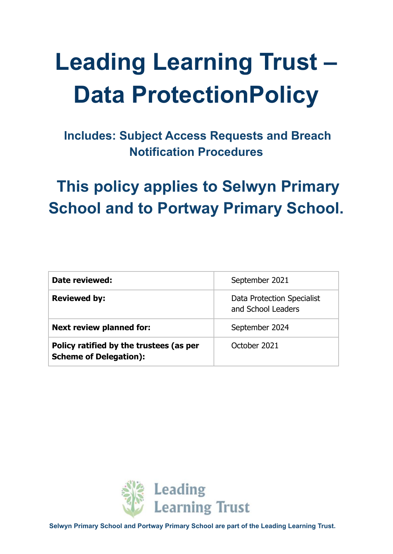# **Leading Learning Trust – Data ProtectionPolicy**

**Includes: Subject Access Requests and Breach Notification Procedures**

# **This policy applies to Selwyn Primary School and to Portway Primary School.**

| Date reviewed:                                                           | September 2021                                   |
|--------------------------------------------------------------------------|--------------------------------------------------|
| <b>Reviewed by:</b>                                                      | Data Protection Specialist<br>and School Leaders |
| <b>Next review planned for:</b>                                          | September 2024                                   |
| Policy ratified by the trustees (as per<br><b>Scheme of Delegation):</b> | October 2021                                     |

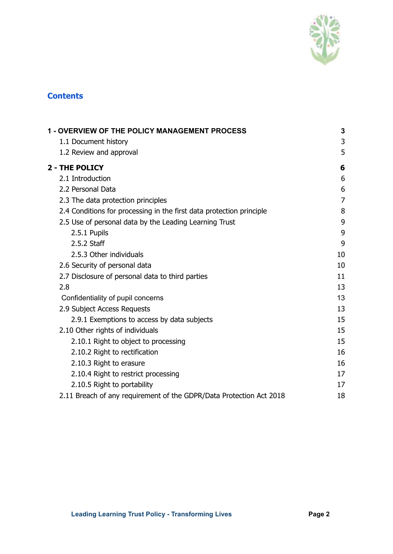

#### **Contents**

| <b>1 - OVERVIEW OF THE POLICY MANAGEMENT PROCESS</b>                 |                |
|----------------------------------------------------------------------|----------------|
| 1.1 Document history                                                 | 3              |
| 1.2 Review and approval                                              | 5              |
| 2 - THE POLICY                                                       | 6              |
| 2.1 Introduction                                                     | 6              |
| 2.2 Personal Data                                                    | 6              |
| 2.3 The data protection principles                                   | $\overline{7}$ |
| 2.4 Conditions for processing in the first data protection principle | 8              |
| 2.5 Use of personal data by the Leading Learning Trust               | 9              |
| 2.5.1 Pupils                                                         | 9              |
| 2.5.2 Staff                                                          | 9              |
| 2.5.3 Other individuals                                              | 10             |
| 2.6 Security of personal data                                        | 10             |
| 2.7 Disclosure of personal data to third parties                     | 11             |
| 2.8                                                                  | 13             |
| Confidentiality of pupil concerns                                    | 13             |
| 2.9 Subject Access Requests                                          | 13             |
| 2.9.1 Exemptions to access by data subjects                          | 15             |
| 2.10 Other rights of individuals                                     | 15             |
| 2.10.1 Right to object to processing                                 | 15             |
| 2.10.2 Right to rectification                                        | 16             |
| 2.10.3 Right to erasure                                              | 16             |
| 2.10.4 Right to restrict processing                                  | 17             |
| 2.10.5 Right to portability                                          | 17             |
| 2.11 Breach of any requirement of the GDPR/Data Protection Act 2018  | 18             |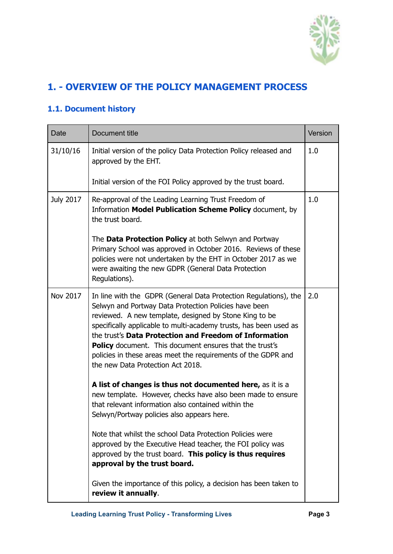

## <span id="page-2-0"></span>**1. - OVERVIEW OF THE POLICY MANAGEMENT PROCESS**

### <span id="page-2-1"></span>**1.1. Document history**

| Date             | Document title                                                                                                                                                                                                                                                                                                                                                                                                                                                                      | Version |
|------------------|-------------------------------------------------------------------------------------------------------------------------------------------------------------------------------------------------------------------------------------------------------------------------------------------------------------------------------------------------------------------------------------------------------------------------------------------------------------------------------------|---------|
| 31/10/16         | Initial version of the policy Data Protection Policy released and<br>approved by the EHT.                                                                                                                                                                                                                                                                                                                                                                                           | 1.0     |
|                  | Initial version of the FOI Policy approved by the trust board.                                                                                                                                                                                                                                                                                                                                                                                                                      |         |
| <b>July 2017</b> | Re-approval of the Leading Learning Trust Freedom of<br>Information Model Publication Scheme Policy document, by<br>the trust board.                                                                                                                                                                                                                                                                                                                                                | 1.0     |
|                  | The <b>Data Protection Policy</b> at both Selwyn and Portway<br>Primary School was approved in October 2016. Reviews of these<br>policies were not undertaken by the EHT in October 2017 as we<br>were awaiting the new GDPR (General Data Protection<br>Regulations).                                                                                                                                                                                                              |         |
| Nov 2017         | In line with the GDPR (General Data Protection Regulations), the<br>Selwyn and Portway Data Protection Policies have been<br>reviewed. A new template, designed by Stone King to be<br>specifically applicable to multi-academy trusts, has been used as<br>the trust's Data Protection and Freedom of Information<br>Policy document. This document ensures that the trust's<br>policies in these areas meet the requirements of the GDPR and<br>the new Data Protection Act 2018. | 2.0     |
|                  | A list of changes is thus not documented here, as it is a<br>new template. However, checks have also been made to ensure<br>that relevant information also contained within the<br>Selwyn/Portway policies also appears here.                                                                                                                                                                                                                                                       |         |
|                  | Note that whilst the school Data Protection Policies were<br>approved by the Executive Head teacher, the FOI policy was<br>approved by the trust board. This policy is thus requires<br>approval by the trust board.                                                                                                                                                                                                                                                                |         |
|                  | Given the importance of this policy, a decision has been taken to<br>review it annually.                                                                                                                                                                                                                                                                                                                                                                                            |         |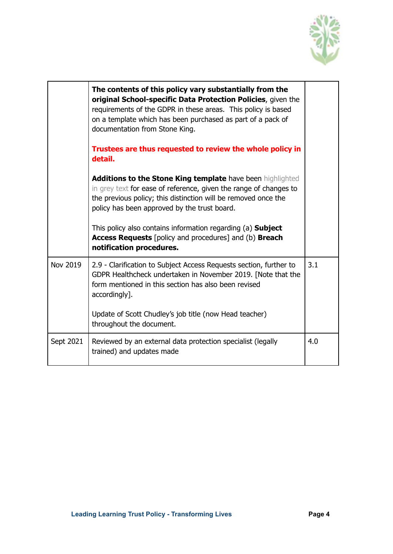

|           | The contents of this policy vary substantially from the<br>original School-specific Data Protection Policies, given the<br>requirements of the GDPR in these areas. This policy is based<br>on a template which has been purchased as part of a pack of<br>documentation from Stone King.<br>Trustees are thus requested to review the whole policy in<br>detail.                                                                  |     |
|-----------|------------------------------------------------------------------------------------------------------------------------------------------------------------------------------------------------------------------------------------------------------------------------------------------------------------------------------------------------------------------------------------------------------------------------------------|-----|
|           | <b>Additions to the Stone King template have been highlighted</b><br>in grey text for ease of reference, given the range of changes to<br>the previous policy; this distinction will be removed once the<br>policy has been approved by the trust board.<br>This policy also contains information regarding (a) <b>Subject</b><br><b>Access Requests</b> [policy and procedures] and (b) <b>Breach</b><br>notification procedures. |     |
| Nov 2019  | 2.9 - Clarification to Subject Access Requests section, further to<br>GDPR Healthcheck undertaken in November 2019. [Note that the<br>form mentioned in this section has also been revised<br>accordingly].<br>Update of Scott Chudley's job title (now Head teacher)<br>throughout the document.                                                                                                                                  | 3.1 |
| Sept 2021 | Reviewed by an external data protection specialist (legally<br>trained) and updates made                                                                                                                                                                                                                                                                                                                                           | 4.0 |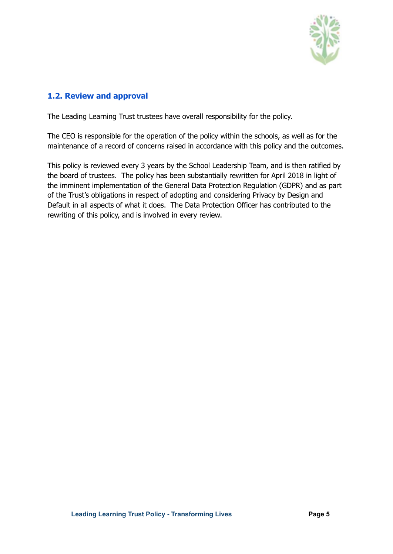

#### <span id="page-4-0"></span>**1.2. Review and approval**

The Leading Learning Trust trustees have overall responsibility for the policy.

The CEO is responsible for the operation of the policy within the schools, as well as for the maintenance of a record of concerns raised in accordance with this policy and the outcomes.

This policy is reviewed every 3 years by the School Leadership Team, and is then ratified by the board of trustees. The policy has been substantially rewritten for April 2018 in light of the imminent implementation of the General Data Protection Regulation (GDPR) and as part of the Trust's obligations in respect of adopting and considering Privacy by Design and Default in all aspects of what it does. The Data Protection Officer has contributed to the rewriting of this policy, and is involved in every review.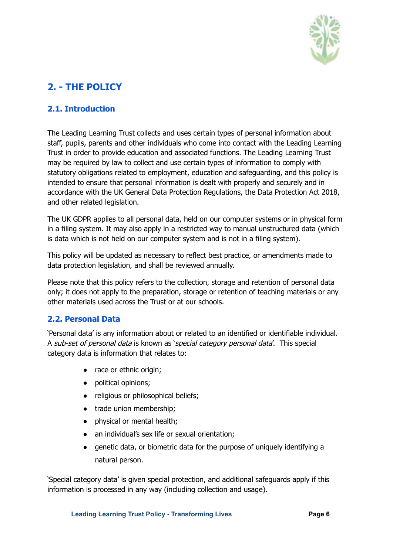

# <span id="page-5-0"></span>**2. - THE POLICY**

#### <span id="page-5-1"></span>**2.1. Introduction**

The Leading Learning Trust collects and uses certain types of personal information about staff, pupils, parents and other individuals who come into contact with the Leading Learning Trust in order to provide education and associated functions. The Leading Learning Trust may be required by law to collect and use certain types of information to comply with statutory obligations related to employment, education and safeguarding, and this policy is intended to ensure that personal information is dealt with properly and securely and in accordance with the UK General Data Protection Regulations, the Data Protection Act 2018, and other related legislation.

The UK GDPR applies to all personal data, held on our computer systems or in physical form in a filing system. It may also apply in a restricted way to manual unstructured data (which is data which is not held on our computer system and is not in a filing system).

This policy will be updated as necessary to reflect best practice, or amendments made to data protection legislation, and shall be reviewed annually.

Please note that this policy refers to the collection, storage and retention of personal data only; it does not apply to the preparation, storage or retention of teaching materials or any other materials used across the Trust or at our schools.

#### <span id="page-5-2"></span>**2.2. Personal Data**

'Personal data' is any information about or related to an identified or identifiable individual. A sub-set of personal data is known as 'special category personal data'. This special category data is information that relates to:

- race or ethnic origin;
- political opinions;
- religious or philosophical beliefs;
- trade union membership;
- physical or mental health;
- an individual's sex life or sexual orientation;
- genetic data, or biometric data for the purpose of uniquely identifying a natural person.

'Special category data' is given special protection, and additional safeguards apply if this information is processed in any way (including collection and usage).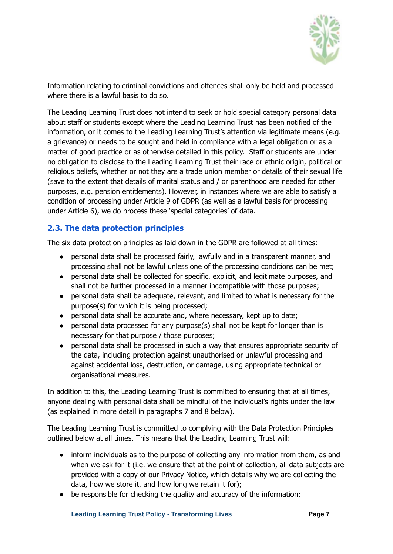

Information relating to criminal convictions and offences shall only be held and processed where there is a lawful basis to do so.

The Leading Learning Trust does not intend to seek or hold special category personal data about staff or students except where the Leading Learning Trust has been notified of the information, or it comes to the Leading Learning Trust's attention via legitimate means (e.g. a grievance) or needs to be sought and held in compliance with a legal obligation or as a matter of good practice or as otherwise detailed in this policy. Staff or students are under no obligation to disclose to the Leading Learning Trust their race or ethnic origin, political or religious beliefs, whether or not they are a trade union member or details of their sexual life (save to the extent that details of marital status and / or parenthood are needed for other purposes, e.g. pension entitlements). However, in instances where we are able to satisfy a condition of processing under Article 9 of GDPR (as well as a lawful basis for processing under Article 6), we do process these 'special categories' of data.

#### <span id="page-6-0"></span>**2.3. The data protection principles**

The six data protection principles as laid down in the GDPR are followed at all times:

- personal data shall be processed fairly, lawfully and in a transparent manner, and processing shall not be lawful unless one of the processing conditions can be met;
- personal data shall be collected for specific, explicit, and legitimate purposes, and shall not be further processed in a manner incompatible with those purposes;
- personal data shall be adequate, relevant, and limited to what is necessary for the purpose(s) for which it is being processed;
- personal data shall be accurate and, where necessary, kept up to date;
- personal data processed for any purpose(s) shall not be kept for longer than is necessary for that purpose / those purposes;
- personal data shall be processed in such a way that ensures appropriate security of the data, including protection against unauthorised or unlawful processing and against accidental loss, destruction, or damage, using appropriate technical or organisational measures.

In addition to this, the Leading Learning Trust is committed to ensuring that at all times, anyone dealing with personal data shall be mindful of the individual's rights under the law (as explained in more detail in paragraphs 7 and 8 below).

The Leading Learning Trust is committed to complying with the Data Protection Principles outlined below at all times. This means that the Leading Learning Trust will:

- inform individuals as to the purpose of collecting any information from them, as and when we ask for it (i.e. we ensure that at the point of collection, all data subjects are provided with a copy of our Privacy Notice, which details why we are collecting the data, how we store it, and how long we retain it for);
- be responsible for checking the quality and accuracy of the information;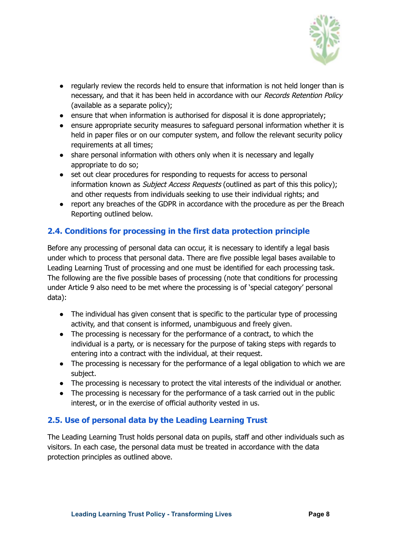

- regularly review the records held to ensure that information is not held longer than is necessary, and that it has been held in accordance with our Records Retention Policy (available as a separate policy);
- ensure that when information is authorised for disposal it is done appropriately;
- ensure appropriate security measures to safeguard personal information whether it is held in paper files or on our computer system, and follow the relevant security policy requirements at all times;
- share personal information with others only when it is necessary and legally appropriate to do so;
- set out clear procedures for responding to requests for access to personal information known as *Subject Access Requests* (outlined as part of this this policy); and other requests from individuals seeking to use their individual rights; and
- report any breaches of the GDPR in accordance with the procedure as per the Breach Reporting outlined below.

#### <span id="page-7-0"></span>**2.4. Conditions for processing in the first data protection principle**

Before any processing of personal data can occur, it is necessary to identify a legal basis under which to process that personal data. There are five possible legal bases available to Leading Learning Trust of processing and one must be identified for each processing task. The following are the five possible bases of processing (note that conditions for processing under Article 9 also need to be met where the processing is of 'special category' personal data):

- The individual has given consent that is specific to the particular type of processing activity, and that consent is informed, unambiguous and freely given.
- The processing is necessary for the performance of a contract, to which the individual is a party, or is necessary for the purpose of taking steps with regards to entering into a contract with the individual, at their request.
- The processing is necessary for the performance of a legal obligation to which we are subject.
- The processing is necessary to protect the vital interests of the individual or another.
- The processing is necessary for the performance of a task carried out in the public interest, or in the exercise of official authority vested in us.

#### <span id="page-7-1"></span>**2.5. Use of personal data by the Leading Learning Trust**

The Leading Learning Trust holds personal data on pupils, staff and other individuals such as visitors. In each case, the personal data must be treated in accordance with the data protection principles as outlined above.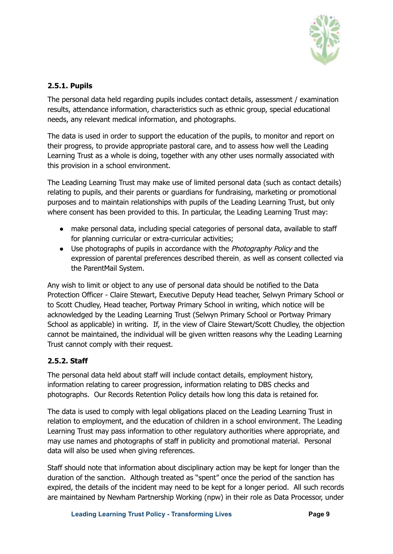

#### <span id="page-8-0"></span>**2.5.1. Pupils**

The personal data held regarding pupils includes contact details, assessment / examination results, attendance information, characteristics such as ethnic group, special educational needs, any relevant medical information, and photographs.

The data is used in order to support the education of the pupils, to monitor and report on their progress, to provide appropriate pastoral care, and to assess how well the Leading Learning Trust as a whole is doing, together with any other uses normally associated with this provision in a school environment.

The Leading Learning Trust may make use of limited personal data (such as contact details) relating to pupils, and their parents or guardians for fundraising, marketing or promotional purposes and to maintain relationships with pupils of the Leading Learning Trust, but only where consent has been provided to this. In particular, the Leading Learning Trust may:

- make personal data, including special categories of personal data, available to staff for planning curricular or extra-curricular activities;
- Use photographs of pupils in accordance with the *Photography Policy* and the expression of parental preferences described therein, as well as consent collected via the ParentMail System.

Any wish to limit or object to any use of personal data should be notified to the Data Protection Officer - Claire Stewart, Executive Deputy Head teacher, Selwyn Primary School or to Scott Chudley, Head teacher, Portway Primary School in writing, which notice will be acknowledged by the Leading Learning Trust (Selwyn Primary School or Portway Primary School as applicable) in writing. If, in the view of Claire Stewart/Scott Chudley, the objection cannot be maintained, the individual will be given written reasons why the Leading Learning Trust cannot comply with their request.

#### <span id="page-8-1"></span>**2.5.2. Staff**

The personal data held about staff will include contact details, employment history, information relating to career progression, information relating to DBS checks and photographs. Our Records Retention Policy details how long this data is retained for.

The data is used to comply with legal obligations placed on the Leading Learning Trust in relation to employment, and the education of children in a school environment. The Leading Learning Trust may pass information to other regulatory authorities where appropriate, and may use names and photographs of staff in publicity and promotional material. Personal data will also be used when giving references.

Staff should note that information about disciplinary action may be kept for longer than the duration of the sanction. Although treated as "spent" once the period of the sanction has expired, the details of the incident may need to be kept for a longer period. All such records are maintained by Newham Partnership Working (npw) in their role as Data Processor, under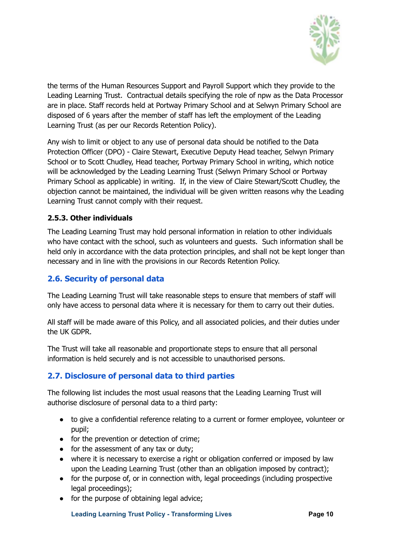

the terms of the Human Resources Support and Payroll Support which they provide to the Leading Learning Trust. Contractual details specifying the role of npw as the Data Processor are in place. Staff records held at Portway Primary School and at Selwyn Primary School are disposed of 6 years after the member of staff has left the employment of the Leading Learning Trust (as per our Records Retention Policy).

Any wish to limit or object to any use of personal data should be notified to the Data Protection Officer (DPO) - Claire Stewart, Executive Deputy Head teacher, Selwyn Primary School or to Scott Chudley, Head teacher, Portway Primary School in writing, which notice will be acknowledged by the Leading Learning Trust (Selwyn Primary School or Portway Primary School as applicable) in writing. If, in the view of Claire Stewart/Scott Chudley, the objection cannot be maintained, the individual will be given written reasons why the Leading Learning Trust cannot comply with their request.

#### <span id="page-9-0"></span>**2.5.3. Other individuals**

The Leading Learning Trust may hold personal information in relation to other individuals who have contact with the school, such as volunteers and guests. Such information shall be held only in accordance with the data protection principles, and shall not be kept longer than necessary and in line with the provisions in our Records Retention Policy.

#### <span id="page-9-1"></span>**2.6. Security of personal data**

The Leading Learning Trust will take reasonable steps to ensure that members of staff will only have access to personal data where it is necessary for them to carry out their duties.

All staff will be made aware of this Policy, and all associated policies, and their duties under the UK GDPR.

The Trust will take all reasonable and proportionate steps to ensure that all personal information is held securely and is not accessible to unauthorised persons.

#### <span id="page-9-2"></span>**2.7. Disclosure of personal data to third parties**

The following list includes the most usual reasons that the Leading Learning Trust will authorise disclosure of personal data to a third party:

- to give a confidential reference relating to a current or former employee, volunteer or pupil;
- for the prevention or detection of crime:
- for the assessment of any tax or duty;
- where it is necessary to exercise a right or obligation conferred or imposed by law upon the Leading Learning Trust (other than an obligation imposed by contract);
- for the purpose of, or in connection with, legal proceedings (including prospective legal proceedings);
- for the purpose of obtaining legal advice;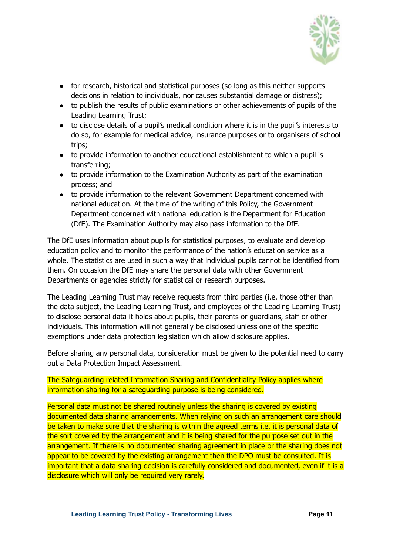

- for research, historical and statistical purposes (so long as this neither supports decisions in relation to individuals, nor causes substantial damage or distress);
- to publish the results of public examinations or other achievements of pupils of the Leading Learning Trust;
- to disclose details of a pupil's medical condition where it is in the pupil's interests to do so, for example for medical advice, insurance purposes or to organisers of school trips;
- to provide information to another educational establishment to which a pupil is transferring;
- to provide information to the Examination Authority as part of the examination process; and
- to provide information to the relevant Government Department concerned with national education. At the time of the writing of this Policy, the Government Department concerned with national education is the Department for Education (DfE). The Examination Authority may also pass information to the DfE.

The DfE uses information about pupils for statistical purposes, to evaluate and develop education policy and to monitor the performance of the nation's education service as a whole. The statistics are used in such a way that individual pupils cannot be identified from them. On occasion the DfE may share the personal data with other Government Departments or agencies strictly for statistical or research purposes.

The Leading Learning Trust may receive requests from third parties (i.e. those other than the data subject, the Leading Learning Trust, and employees of the Leading Learning Trust) to disclose personal data it holds about pupils, their parents or guardians, staff or other individuals. This information will not generally be disclosed unless one of the specific exemptions under data protection legislation which allow disclosure applies.

Before sharing any personal data, consideration must be given to the potential need to carry out a Data Protection Impact Assessment.

#### The Safeguarding related Information Sharing and Confidentiality Policy applies where information sharing for a safeguarding purpose is being considered.

Personal data must not be shared routinely unless the sharing is covered by existing documented data sharing arrangements. When relying on such an arrangement care should be taken to make sure that the sharing is within the agreed terms i.e. it is personal data of the sort covered by the arrangement and it is being shared for the purpose set out in the arrangement. If there is no documented sharing agreement in place or the sharing does not appear to be covered by the existing arrangement then the DPO must be consulted. It is important that a data sharing decision is carefully considered and documented, even if it is a disclosure which will only be required very rarely.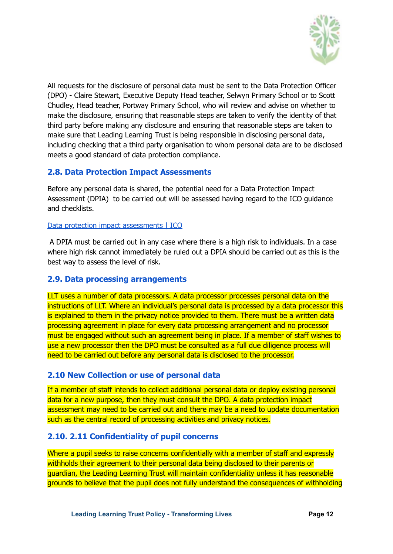

All requests for the disclosure of personal data must be sent to the Data Protection Officer (DPO) - Claire Stewart, Executive Deputy Head teacher, Selwyn Primary School or to Scott Chudley, Head teacher, Portway Primary School, who will review and advise on whether to make the disclosure, ensuring that reasonable steps are taken to verify the identity of that third party before making any disclosure and ensuring that reasonable steps are taken to make sure that Leading Learning Trust is being responsible in disclosing personal data, including checking that a third party organisation to whom personal data are to be disclosed meets a good standard of data protection compliance.

#### **2.8. Data Protection Impact Assessments**

Before any personal data is shared, the potential need for a Data Protection Impact Assessment (DPIA) to be carried out will be assessed having regard to the ICO guidance and checklists.

#### Data protection impact [assessments](https://ico.org.uk/for-organisations/guide-to-data-protection/guide-to-the-general-data-protection-regulation-gdpr/accountability-and-governance/data-protection-impact-assessments/#dpia3) | ICO

A DPIA must be carried out in any case where there is a high risk to individuals. In a case where high risk cannot immediately be ruled out a DPIA should be carried out as this is the best way to assess the level of risk.

#### <span id="page-11-0"></span>**2.9. Data processing arrangements**

LLT uses a number of data processors. A data processor processes personal data on the instructions of LLT. Where an individual's personal data is processed by a data processor this is explained to them in the privacy notice provided to them. There must be a written data processing agreement in place for every data processing arrangement and no processor must be engaged without such an agreement being in place. If a member of staff wishes to use a new processor then the DPO must be consulted as a full due diligence process will need to be carried out before any personal data is disclosed to the processor.

#### **2.10 New Collection or use of personal data**

If a member of staff intends to collect additional personal data or deploy existing personal data for a new purpose, then they must consult the DPO. A data protection impact assessment may need to be carried out and there may be a need to update documentation such as the central record of processing activities and privacy notices.

#### **2.10. 2.11 Confidentiality of pupil concerns**

Where a pupil seeks to raise concerns confidentially with a member of staff and expressly withholds their agreement to their personal data being disclosed to their parents or guardian, the Leading Learning Trust will maintain confidentiality unless it has reasonable grounds to believe that the pupil does not fully understand the consequences of withholding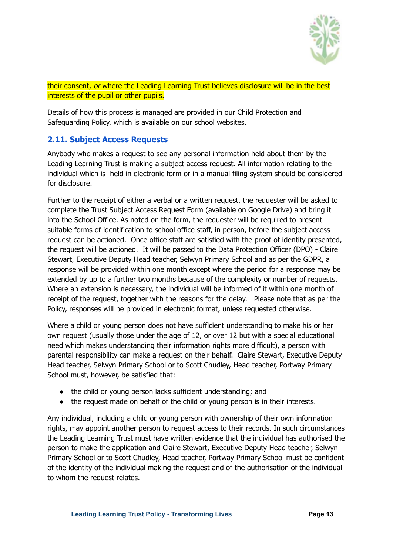

their consent, or where the Leading Learning Trust believes disclosure will be in the best interests of the pupil or other pupils.

Details of how this process is managed are provided in our Child Protection and Safeguarding Policy, which is available on our school websites.

#### <span id="page-12-0"></span>**2.11. Subject Access Requests**

Anybody who makes a request to see any personal information held about them by the Leading Learning Trust is making a subject access request. All information relating to the individual which is held in electronic form or in a manual filing system should be considered for disclosure.

Further to the receipt of either a verbal or a written request, the requester will be asked to complete the Trust Subject Access Request Form (available on Google Drive) and bring it into the School Office. As noted on the form, the requester will be required to present suitable forms of identification to school office staff, in person, before the subject access request can be actioned. Once office staff are satisfied with the proof of identity presented, the request will be actioned. It will be passed to the Data Protection Officer (DPO) - Claire Stewart, Executive Deputy Head teacher, Selwyn Primary School and as per the GDPR, a response will be provided within one month except where the period for a response may be extended by up to a further two months because of the complexity or number of requests. Where an extension is necessary, the individual will be informed of it within one month of receipt of the request, together with the reasons for the delay. Please note that as per the Policy, responses will be provided in electronic format, unless requested otherwise.

Where a child or young person does not have sufficient understanding to make his or her own request (usually those under the age of 12, or over 12 but with a special educational need which makes understanding their information rights more difficult), a person with parental responsibility can make a request on their behalf. Claire Stewart, Executive Deputy Head teacher, Selwyn Primary School or to Scott Chudley, Head teacher, Portway Primary School must, however, be satisfied that:

- the child or young person lacks sufficient understanding; and
- the request made on behalf of the child or young person is in their interests.

Any individual, including a child or young person with ownership of their own information rights, may appoint another person to request access to their records. In such circumstances the Leading Learning Trust must have written evidence that the individual has authorised the person to make the application and Claire Stewart, Executive Deputy Head teacher, Selwyn Primary School or to Scott Chudley, Head teacher, Portway Primary School must be confident of the identity of the individual making the request and of the authorisation of the individual to whom the request relates.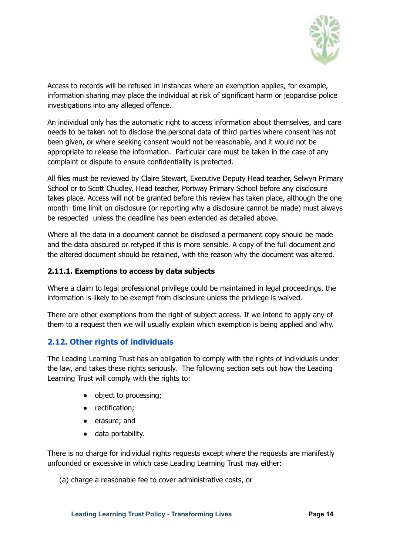

Access to records will be refused in instances where an exemption applies, for example, information sharing may place the individual at risk of significant harm or jeopardise police investigations into any alleged offence.

An individual only has the automatic right to access information about themselves, and care needs to be taken not to disclose the personal data of third parties where consent has not been given, or where seeking consent would not be reasonable, and it would not be appropriate to release the information. Particular care must be taken in the case of any complaint or dispute to ensure confidentiality is protected.

All files must be reviewed by Claire Stewart, Executive Deputy Head teacher, Selwyn Primary School or to Scott Chudley, Head teacher, Portway Primary School before any disclosure takes place. Access will not be granted before this review has taken place, although the one month time limit on disclosure (or reporting why a disclosure cannot be made) must always be respected unless the deadline has been extended as detailed above.

Where all the data in a document cannot be disclosed a permanent copy should be made and the data obscured or retyped if this is more sensible. A copy of the full document and the altered document should be retained, with the reason why the document was altered.

#### <span id="page-13-0"></span>**2.11.1. Exemptions to access by data subjects**

Where a claim to legal professional privilege could be maintained in legal proceedings, the information is likely to be exempt from disclosure unless the privilege is waived.

There are other exemptions from the right of subject access. If we intend to apply any of them to a request then we will usually explain which exemption is being applied and why.

#### <span id="page-13-1"></span>**2.12. Other rights of individuals**

The Leading Learning Trust has an obligation to comply with the rights of individuals under the law, and takes these rights seriously. The following section sets out how the Leading Learning Trust will comply with the rights to:

- object to processing;
- rectification;
- erasure; and
- data portability.

There is no charge for individual rights requests except where the requests are manifestly unfounded or excessive in which case Leading Learning Trust may either:

(a) charge a reasonable fee to cover administrative costs, or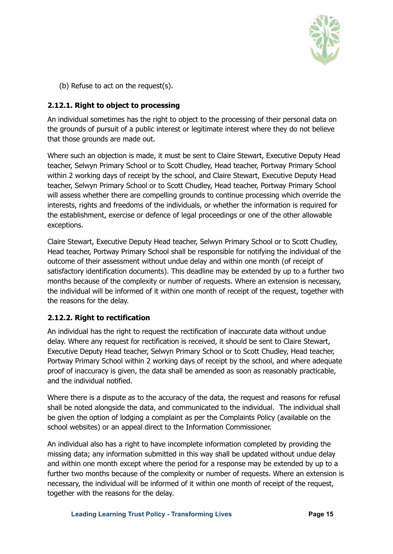

(b) Refuse to act on the request(s).

#### <span id="page-14-0"></span>**2.12.1. Right to object to processing**

An individual sometimes has the right to object to the processing of their personal data on the grounds of pursuit of a public interest or legitimate interest where they do not believe that those grounds are made out.

Where such an objection is made, it must be sent to Claire Stewart, Executive Deputy Head teacher, Selwyn Primary School or to Scott Chudley, Head teacher, Portway Primary School within 2 working days of receipt by the school, and Claire Stewart, Executive Deputy Head teacher, Selwyn Primary School or to Scott Chudley, Head teacher, Portway Primary School will assess whether there are compelling grounds to continue processing which override the interests, rights and freedoms of the individuals, or whether the information is required for the establishment, exercise or defence of legal proceedings or one of the other allowable exceptions.

Claire Stewart, Executive Deputy Head teacher, Selwyn Primary School or to Scott Chudley, Head teacher, Portway Primary School shall be responsible for notifying the individual of the outcome of their assessment without undue delay and within one month (of receipt of satisfactory identification documents). This deadline may be extended by up to a further two months because of the complexity or number of requests. Where an extension is necessary, the individual will be informed of it within one month of receipt of the request, together with the reasons for the delay.

#### <span id="page-14-1"></span>**2.12.2. Right to rectification**

An individual has the right to request the rectification of inaccurate data without undue delay. Where any request for rectification is received, it should be sent to Claire Stewart, Executive Deputy Head teacher, Selwyn Primary School or to Scott Chudley, Head teacher, Portway Primary School within 2 working days of receipt by the school, and where adequate proof of inaccuracy is given, the data shall be amended as soon as reasonably practicable, and the individual notified.

Where there is a dispute as to the accuracy of the data, the request and reasons for refusal shall be noted alongside the data, and communicated to the individual. The individual shall be given the option of lodging a complaint as per the Complaints Policy (available on the school websites) or an appeal direct to the Information Commissioner.

An individual also has a right to have incomplete information completed by providing the missing data; any information submitted in this way shall be updated without undue delay and within one month except where the period for a response may be extended by up to a further two months because of the complexity or number of requests. Where an extension is necessary, the individual will be informed of it within one month of receipt of the request, together with the reasons for the delay.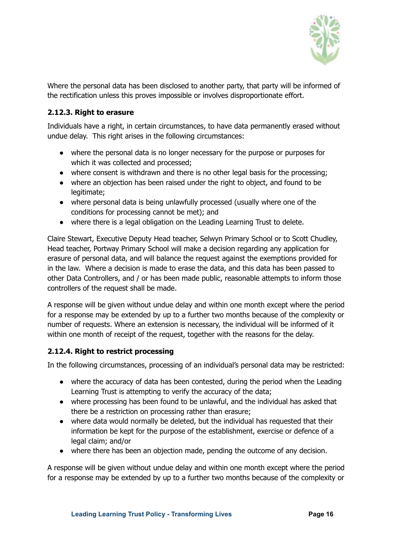

Where the personal data has been disclosed to another party, that party will be informed of the rectification unless this proves impossible or involves disproportionate effort.

#### <span id="page-15-0"></span>**2.12.3. Right to erasure**

Individuals have a right, in certain circumstances, to have data permanently erased without undue delay. This right arises in the following circumstances:

- where the personal data is no longer necessary for the purpose or purposes for which it was collected and processed;
- where consent is withdrawn and there is no other legal basis for the processing;
- where an objection has been raised under the right to object, and found to be legitimate;
- where personal data is being unlawfully processed (usually where one of the conditions for processing cannot be met); and
- where there is a legal obligation on the Leading Learning Trust to delete.

Claire Stewart, Executive Deputy Head teacher, Selwyn Primary School or to Scott Chudley, Head teacher, Portway Primary School will make a decision regarding any application for erasure of personal data, and will balance the request against the exemptions provided for in the law. Where a decision is made to erase the data, and this data has been passed to other Data Controllers, and / or has been made public, reasonable attempts to inform those controllers of the request shall be made.

A response will be given without undue delay and within one month except where the period for a response may be extended by up to a further two months because of the complexity or number of requests. Where an extension is necessary, the individual will be informed of it within one month of receipt of the request, together with the reasons for the delay.

#### <span id="page-15-1"></span>**2.12.4. Right to restrict processing**

In the following circumstances, processing of an individual's personal data may be restricted:

- where the accuracy of data has been contested, during the period when the Leading Learning Trust is attempting to verify the accuracy of the data;
- where processing has been found to be unlawful, and the individual has asked that there be a restriction on processing rather than erasure;
- where data would normally be deleted, but the individual has requested that their information be kept for the purpose of the establishment, exercise or defence of a legal claim; and/or
- where there has been an objection made, pending the outcome of any decision.

A response will be given without undue delay and within one month except where the period for a response may be extended by up to a further two months because of the complexity or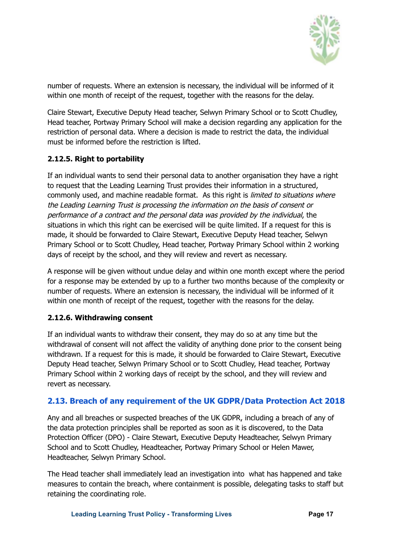

number of requests. Where an extension is necessary, the individual will be informed of it within one month of receipt of the request, together with the reasons for the delay.

Claire Stewart, Executive Deputy Head teacher, Selwyn Primary School or to Scott Chudley, Head teacher, Portway Primary School will make a decision regarding any application for the restriction of personal data. Where a decision is made to restrict the data, the individual must be informed before the restriction is lifted.

#### <span id="page-16-0"></span>**2.12.5. Right to portability**

If an individual wants to send their personal data to another organisation they have a right to request that the Leading Learning Trust provides their information in a structured, commonly used, and machine readable format. As this right is *limited to situations where* the Leading Learning Trust is processing the information on the basis of consent or performance of <sup>a</sup> contract and the personal data was provided by the individual, the situations in which this right can be exercised will be quite limited. If a request for this is made, it should be forwarded to Claire Stewart, Executive Deputy Head teacher, Selwyn Primary School or to Scott Chudley, Head teacher, Portway Primary School within 2 working days of receipt by the school, and they will review and revert as necessary.

A response will be given without undue delay and within one month except where the period for a response may be extended by up to a further two months because of the complexity or number of requests. Where an extension is necessary, the individual will be informed of it within one month of receipt of the request, together with the reasons for the delay.

#### **2.12.6. Withdrawing consent**

If an individual wants to withdraw their consent, they may do so at any time but the withdrawal of consent will not affect the validity of anything done prior to the consent being withdrawn. If a request for this is made, it should be forwarded to Claire Stewart, Executive Deputy Head teacher, Selwyn Primary School or to Scott Chudley, Head teacher, Portway Primary School within 2 working days of receipt by the school, and they will review and revert as necessary.

#### <span id="page-16-1"></span>**2.13. Breach of any requirement of the UK GDPR/Data Protection Act 2018**

Any and all breaches or suspected breaches of the UK GDPR, including a breach of any of the data protection principles shall be reported as soon as it is discovered, to the Data Protection Officer (DPO) - Claire Stewart, Executive Deputy Headteacher, Selwyn Primary School and to Scott Chudley, Headteacher, Portway Primary School or Helen Mawer, Headteacher, Selwyn Primary School.

The Head teacher shall immediately lead an investigation into what has happened and take measures to contain the breach, where containment is possible, delegating tasks to staff but retaining the coordinating role.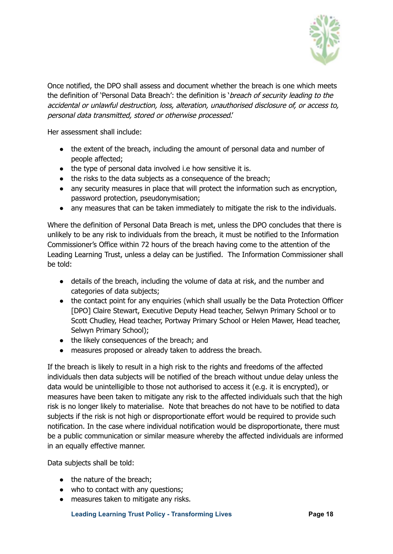

Once notified, the DPO shall assess and document whether the breach is one which meets the definition of 'Personal Data Breach': the definition is '*breach of security leading to the* accidental or unlawful destruction, loss, alteration, unauthorised disclosure of, or access to, personal data transmitted, stored or otherwise processed.'

Her assessment shall include:

- the extent of the breach, including the amount of personal data and number of people affected;
- the type of personal data involved i.e how sensitive it is.
- the risks to the data subjects as a consequence of the breach;
- any security measures in place that will protect the information such as encryption, password protection, pseudonymisation;
- any measures that can be taken immediately to mitigate the risk to the individuals.

Where the definition of Personal Data Breach is met, unless the DPO concludes that there is unlikely to be any risk to individuals from the breach, it must be notified to the Information Commissioner's Office within 72 hours of the breach having come to the attention of the Leading Learning Trust, unless a delay can be justified. The Information Commissioner shall be told:

- details of the breach, including the volume of data at risk, and the number and categories of data subjects;
- the contact point for any enquiries (which shall usually be the Data Protection Officer [DPO] Claire Stewart, Executive Deputy Head teacher, Selwyn Primary School or to Scott Chudley, Head teacher, Portway Primary School or Helen Mawer, Head teacher, Selwyn Primary School);
- the likely consequences of the breach; and
- measures proposed or already taken to address the breach.

If the breach is likely to result in a high risk to the rights and freedoms of the affected individuals then data subjects will be notified of the breach without undue delay unless the data would be unintelligible to those not authorised to access it (e.g. it is encrypted), or measures have been taken to mitigate any risk to the affected individuals such that the high risk is no longer likely to materialise. Note that breaches do not have to be notified to data subjects if the risk is not high or disproportionate effort would be required to provide such notification. In the case where individual notification would be disproportionate, there must be a public communication or similar measure whereby the affected individuals are informed in an equally effective manner.

Data subjects shall be told:

- the nature of the breach:
- who to contact with any questions:
- measures taken to mitigate any risks.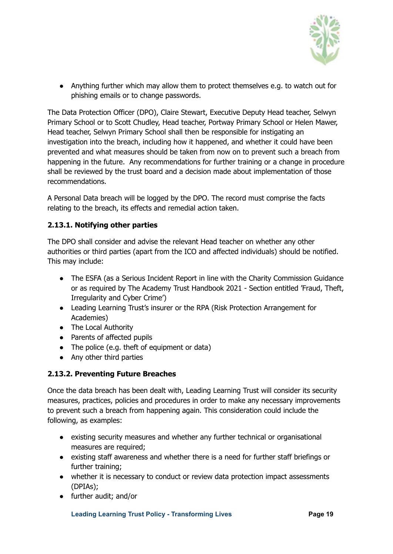

● Anything further which may allow them to protect themselves e.g. to watch out for phishing emails or to change passwords.

The Data Protection Officer (DPO), Claire Stewart, Executive Deputy Head teacher, Selwyn Primary School or to Scott Chudley, Head teacher, Portway Primary School or Helen Mawer, Head teacher, Selwyn Primary School shall then be responsible for instigating an investigation into the breach, including how it happened, and whether it could have been prevented and what measures should be taken from now on to prevent such a breach from happening in the future. Any recommendations for further training or a change in procedure shall be reviewed by the trust board and a decision made about implementation of those recommendations.

A Personal Data breach will be logged by the DPO. The record must comprise the facts relating to the breach, its effects and remedial action taken.

#### **2.13.1. Notifying other parties**

The DPO shall consider and advise the relevant Head teacher on whether any other authorities or third parties (apart from the ICO and affected individuals) should be notified. This may include:

- The ESFA (as a Serious Incident Report in line with the Charity Commission Guidance or as required by The Academy Trust Handbook 2021 - Section entitled 'Fraud, Theft, Irregularity and Cyber Crime')
- Leading Learning Trust's insurer or the RPA (Risk Protection Arrangement for Academies)
- The Local Authority
- Parents of affected pupils
- The police (e.g. theft of equipment or data)
- Any other third parties

#### **2.13.2. Preventing Future Breaches**

Once the data breach has been dealt with, Leading Learning Trust will consider its security measures, practices, policies and procedures in order to make any necessary improvements to prevent such a breach from happening again. This consideration could include the following, as examples:

- existing security measures and whether any further technical or organisational measures are required;
- existing staff awareness and whether there is a need for further staff briefings or further training;
- whether it is necessary to conduct or review data protection impact assessments (DPIAs);
- further audit; and/or